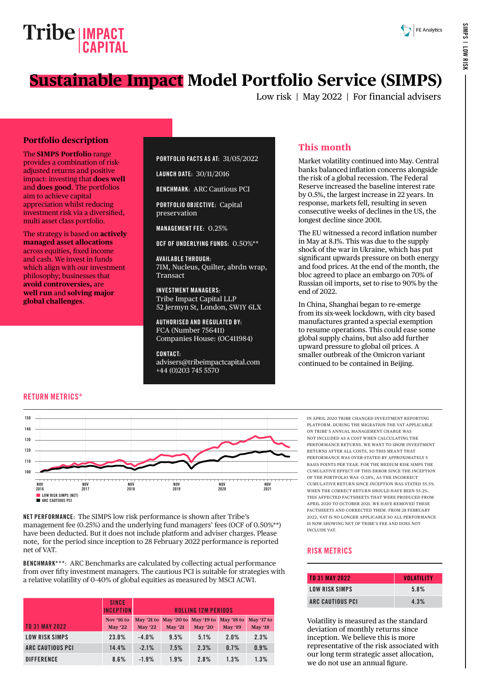# **Tribe** | **IMPACT CAPITAL**

# **Sustainable Impact Model Portfolio Service (SIMPS)**

Low risk | May 2022 | For financial advisers

#### **Portfolio description**

The **SIMPS Portfolio** range provides a combination of riskadjusted returns and positive impact: investing that **does well** and **does good**. The portfolios aim to achieve capital appreciation whilst reducing investment risk via a diversified, multi asset class portfolio.

The strategy is based on **actively managed asset allocations** across equities, fixed income and cash. We invest in funds which align with our investment philosophy; businesses that **avoid controversies,** are **well run** and **solving major global challenges**.

#### PORTFOLIO FACTS AS AT: 31/05/2022

LAUNCH DATE: 30/11/2016

BENCHMARK: ARC Cautious PCI

PORTFOLIO OBJECTIVE: Capital preservation

MANAGEMENT FEE: 0.25%

OCF OF UNDERLYING FUNDS: 0.50%\*\*

AVAILABLE THROUGH: 7IM, Nucleus, Quilter, abrdn wrap, Transact

INVESTMENT MANAGERS: Tribe Impact Capital LLP 52 Jermyn St, London, SW1Y 6LX

AUTHORISED AND REGULATED BY: FCA (Number 756411) Companies House: (OC411984)

CONTACT: [advisers@tribeimpactcapital.com](mailto:advisers%40tribeimpactcapital.com?subject=) +44 (0)203 745 5570

### **This month**

Market volatility continued into May. Central banks balanced inflation concerns alongside the risk of a global recession. The Federal Reserve increased the baseline interest rate by 0.5%, the largest increase in 22 years. In response, markets fell, resulting in seven consecutive weeks of declines in the US, the longest decline since 2001.

The EU witnessed a record inflation number in May at 8.1%. This was due to the supply shock of the war in Ukraine, which has put significant upwards pressure on both energy and food prices. At the end of the month, the bloc agreed to place an embargo on 70% of Russian oil imports, set to rise to 90% by the end of 2022.

In China, Shanghai began to re-emerge from its six-week lockdown, with city based manufactures granted a special exemption to resume operations. This could ease some global supply chains, but also add further upward pressure to global oil prices. A smaller outbreak of the Omicron variant continued to be contained in Beijing.

#### RETURN METRICS\*



NET PERFORMANCE: The SIMPS low risk performance is shown after Tribe's management fee (0.25%) and the underlying fund managers' fees (OCF of 0.50%\*\*) have been deducted. But it does not include platform and adviser charges. Please note, for the period since inception to 28 February 2022 performance is reported net of VAT.

BENCHMARK\*\*\*: ARC Benchmarks are calculated by collecting actual performance from over fifty investment managers. The cautious PCI is suitable for strategies with a relative volatility of 0-40% of global equities as measured by MSCI ACWI.

|                         | <b>SINCE</b><br><b>INCEPTION</b> | <b>ROLLING 12M PERIODS</b> |                                  |                |                |                |  |  |
|-------------------------|----------------------------------|----------------------------|----------------------------------|----------------|----------------|----------------|--|--|
|                         | Nov '16 to                       |                            | May '21 to May '20 to May '19 to |                | May '18 to     | May '17 to     |  |  |
| <b>TO 31 MAY 2022</b>   | <b>May '22</b>                   | <b>May '22</b>             | <b>May '21</b>                   | <b>May '20</b> | <b>May '19</b> | <b>May '18</b> |  |  |
| LOW RISK SIMPS          | 23.0%                            | $-4.0%$                    | 9.5%                             | 5.1%           | 2.0%           | 2.3%           |  |  |
| <b>ARC CAUTIOUS PCI</b> | 14.4%                            | $-2.1%$                    | 7.5%                             | 2.3%           | 0.7%           | 0.9%           |  |  |
| <b>DIFFERENCE</b>       | 8.6%                             | $-1.9%$                    | 1.9%                             | 2.8%           | 1.3%           | 1.3%           |  |  |

IN APRIL 2020 TRIBE CHANGED INVESTMENT REPORTING PLATFORM. DURING THE MIGRATION THE VAT APPLICABLE ON TRIBE'S ANNUAL MANAGEMENT CHARGE WAS NOT INCLUDED AS A COST WHEN CALCULATING THE PERFORMANCE RETURNS. WE WANT TO SHOW INVESTMENT RETURNS AFTER ALL COSTS, SO THIS MEANT THAT PERFORMANCE WAS OVER-STATED BY APPROXIMATELY 5 BASIS POINTS PER YEAR. FOR THE MEDIUM RISK SIMPS THE CUMULATIVE EFFECT OF THIS ERROR SINCE THE INCEPTION OF THE PORTFOLIO WAS -0.38%, AS THE INCORRECT CUMULATIVE RETURN SINCE INCEPTION WAS STATED 55.5% WHEN THE CORRECT RETURN SHOULD HAVE BEEN 55.2%. THIS AFFECTED FACTSHEETS THAT WERE PRODUCED FROM APRIL 2020 TO OCTOBER 2021. WE HAVE REMOVED THESE FACTSHEETS AND CORRECTED THEM. FROM 28 FEBRUARY 2022, VAT IS NO LONGER APPLICABLE SO ALL PERFORMANCE IS NOW SHOWING NET OF TRIBE'S FEE AND DOES NOT INCLUDE VAT.

#### RISK METRICS

| TO 31 MAY 2022   | <b>VOLATILITY</b> |
|------------------|-------------------|
| LOW RISK SIMPS   | 5.8%              |
| ARC CAUTIOUS PCI | 4.3%              |

Volatility is measured as the standard deviation of monthly returns since inception. We believe this is more representative of the risk associated with our long term strategic asset allocation, we do not use an annual figure.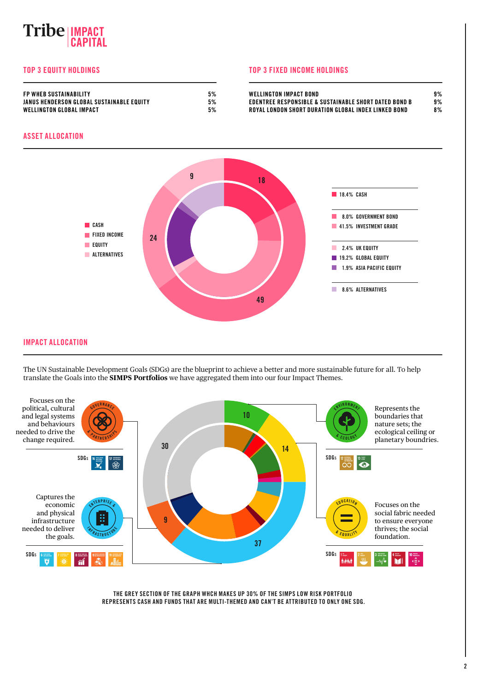## **IMPACT CAPITAL**

#### TOP 3 EQUITY HOLDINGS TOP 3 FIXED INCOME HOLDINGS

| <b>FP WHER SUSTAINABILITY</b>             | 5% | WELLINGTON IMPACT BOND                                | 9% |
|-------------------------------------------|----|-------------------------------------------------------|----|
| JANUS HENDERSON GLOBAL SUSTAINABLE EQUITY | 5% | EDENTREE RESPONSIBLE & SUSTAINABLE SHORT DATED BOND B | 9% |
| <b>WELLINGTON GLOBAL IMPACT</b>           | 5% | ROYAL LONDON SHORT DURATION GLOBAL INDEX LINKED BOND  | 8% |

#### ASSET ALLOCATION



IMPACT ALLOCATION

The UN Sustainable Development Goals (SDGs) are the blueprint to achieve a better and more sustainable future for all. To help translate the Goals into the **SIMPS Portfolios** we have aggregated them into our four Impact Themes.



THE GREY SECTION OF THE GRAPH WHCH MAKES UP 30% OF THE SIMPS LOW RISK PORTFOLIO REPRESENTS CASH AND FUNDS THAT ARE MULTI-THEMED AND CAN'T BE ATTRIBUTED TO ONLY ONE SDG.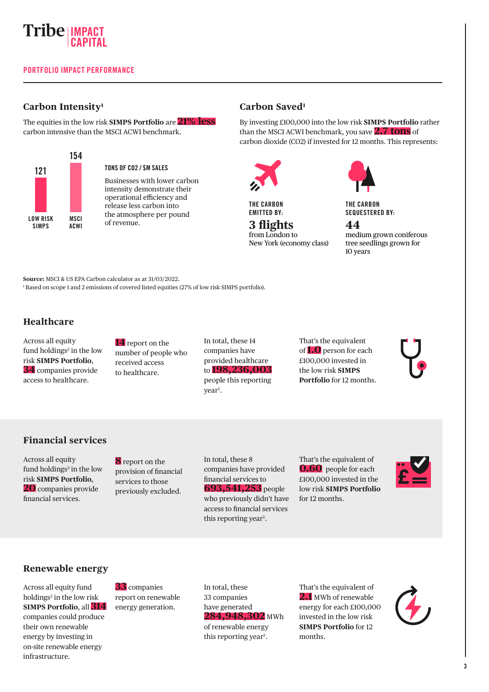

#### **Carbon Intensity1**

The equities in the low risk **SIMPS Portfolio** are **21% less** carbon intensive than the MSCI ACWI benchmark.



#### TONS OF CO2 / \$M SALES

Businesses with lower carbon intensity demonstrate their operational efficiency and release less carbon into the atmosphere per pound of revenue.

#### **Carbon Saved1**

By investing £100,000 into the low risk **SIMPS Portfolio** rather than the MSCI ACWI benchmark, you save **2.7 tons** of carbon dioxide (CO2) if invested for 12 months. This represents:



THE CARBON EMITTED BY:

**3 flights** from London to New York (economy class)

THE CARBON SEQUESTERED BY:

**44** medium grown coniferous tree seedlings grown for 10 years

**Source:** MSCI & US EPA Carbon calculator as at 31/03/2022. 1 Based on scope 1 and 2 emissions of covered listed equities (27% of low risk SIMPS portfolio).

#### **Healthcare**

Across all equity fund holdings<sup>2</sup> in the low risk **SIMPS Portfolio**, **34** companies provide access to healthcare.

**14** report on the number of people who received access to healthcare.

In total, these 14 companies have provided healthcare to **198,236,003** people this reporting year<sup>3</sup>.

That's the equivalent of **1.0** person for each £100,000 invested in the low risk **SIMPS Portfolio** for 12 months.

#### **Financial services**

Across all equity fund holdings<sup>2</sup> in the low risk **SIMPS Portfolio**, **20** companies provide financial services.

**8** report on the provision of financial services to those previously excluded.

In total, these 8 companies have provided financial services to **693,541,253** people who previously didn't have access to financial services this reporting year<sup>3</sup>.

That's the equivalent of **0.60** people for each £100,000 invested in the low risk **SIMPS Portfolio** for 12 months.



**Renewable energy**

Across all equity fund holdings<sup>2</sup> in the low risk **SIMPS Portfolio**, all **314** companies could produce their own renewable energy by investing in on-site renewable energy infrastructure.

**33** companies report on renewable energy generation.

In total, these 33 companies have generated **284,948,302** MWh of renewable energy this reporting year<sup>3</sup>.

That's the equivalent of **2.1** MWh of renewable energy for each £100,000 invested in the low risk **SIMPS Portfolio** for 12 months.